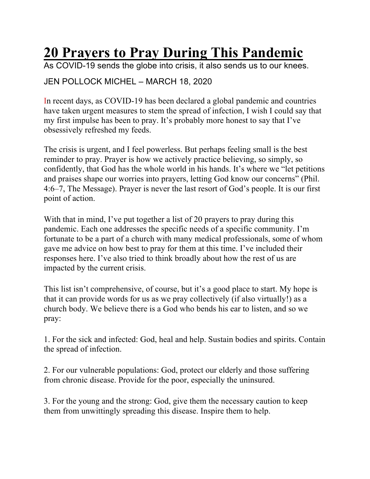## **20 Prayers to Pray During This Pandemic**

As COVID-19 sends the globe into crisis, it also sends us to our knees.

## JEN POLLOCK MICHEL – MARCH 18, 2020

In recent days, as COVID-19 has been declared a global pandemic and countries have taken urgent measures to stem the spread of infection, I wish I could say that my first impulse has been to pray. It's probably more honest to say that I've obsessively refreshed my feeds.

The crisis is urgent, and I feel powerless. But perhaps feeling small is the best reminder to pray. Prayer is how we actively practice believing, so simply, so confidently, that God has the whole world in his hands. It's where we "let petitions and praises shape our worries into prayers, letting God know our concerns" (Phil. 4:6–7, The Message). Prayer is never the last resort of God's people. It is our first point of action.

With that in mind, I've put together a list of 20 prayers to pray during this pandemic. Each one addresses the specific needs of a specific community. I'm fortunate to be a part of a church with many medical professionals, some of whom gave me advice on how best to pray for them at this time. I've included their responses here. I've also tried to think broadly about how the rest of us are impacted by the current crisis.

This list isn't comprehensive, of course, but it's a good place to start. My hope is that it can provide words for us as we pray collectively (if also virtually!) as a church body. We believe there is a God who bends his ear to listen, and so we pray:

1. For the sick and infected: God, heal and help. Sustain bodies and spirits. Contain the spread of infection.

2. For our vulnerable populations: God, protect our elderly and those suffering from chronic disease. Provide for the poor, especially the uninsured.

3. For the young and the strong: God, give them the necessary caution to keep them from unwittingly spreading this disease. Inspire them to help.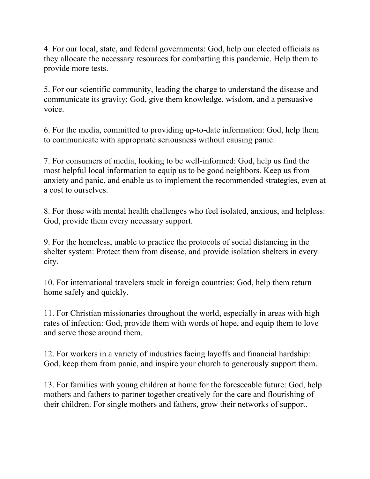4. For our local, state, and federal governments: God, help our elected officials as they allocate the necessary resources for combatting this pandemic. Help them to provide more tests.

5. For our scientific community, leading the charge to understand the disease and communicate its gravity: God, give them knowledge, wisdom, and a persuasive voice.

6. For the media, committed to providing up-to-date information: God, help them to communicate with appropriate seriousness without causing panic.

7. For consumers of media, looking to be well-informed: God, help us find the most helpful local information to equip us to be good neighbors. Keep us from anxiety and panic, and enable us to implement the recommended strategies, even at a cost to ourselves.

8. For those with mental health challenges who feel isolated, anxious, and helpless: God, provide them every necessary support.

9. For the homeless, unable to practice the protocols of social distancing in the shelter system: Protect them from disease, and provide isolation shelters in every city.

10. For international travelers stuck in foreign countries: God, help them return home safely and quickly.

11. For Christian missionaries throughout the world, especially in areas with high rates of infection: God, provide them with words of hope, and equip them to love and serve those around them.

12. For workers in a variety of industries facing layoffs and financial hardship: God, keep them from panic, and inspire your church to generously support them.

13. For families with young children at home for the foreseeable future: God, help mothers and fathers to partner together creatively for the care and flourishing of their children. For single mothers and fathers, grow their networks of support.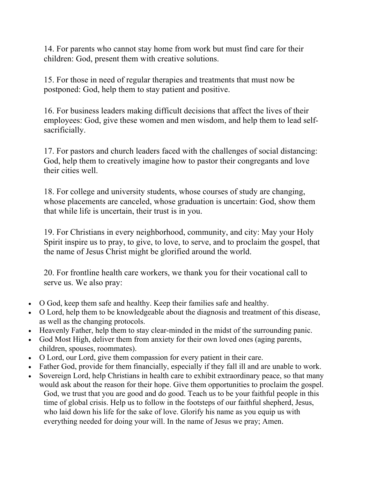14. For parents who cannot stay home from work but must find care for their children: God, present them with creative solutions.

15. For those in need of regular therapies and treatments that must now be postponed: God, help them to stay patient and positive.

16. For business leaders making difficult decisions that affect the lives of their employees: God, give these women and men wisdom, and help them to lead selfsacrificially.

17. For pastors and church leaders faced with the challenges of social distancing: God, help them to creatively imagine how to pastor their congregants and love their cities well.

18. For college and university students, whose courses of study are changing, whose placements are canceled, whose graduation is uncertain: God, show them that while life is uncertain, their trust is in you.

19. For Christians in every neighborhood, community, and city: May your Holy Spirit inspire us to pray, to give, to love, to serve, and to proclaim the gospel, that the name of Jesus Christ might be glorified around the world.

20. For frontline health care workers, we thank you for their vocational call to serve us. We also pray:

- O God, keep them safe and healthy. Keep their families safe and healthy.
- O Lord, help them to be knowledgeable about the diagnosis and treatment of this disease, as well as the changing protocols.
- Heavenly Father, help them to stay clear-minded in the midst of the surrounding panic.
- God Most High, deliver them from anxiety for their own loved ones (aging parents, children, spouses, roommates).
- O Lord, our Lord, give them compassion for every patient in their care.
- Father God, provide for them financially, especially if they fall ill and are unable to work.
- Sovereign Lord, help Christians in health care to exhibit extraordinary peace, so that many would ask about the reason for their hope. Give them opportunities to proclaim the gospel. God, we trust that you are good and do good. Teach us to be your faithful people in this time of global crisis. Help us to follow in the footsteps of our faithful shepherd, Jesus, who laid down his life for the sake of love. Glorify his name as you equip us with everything needed for doing your will. In the name of Jesus we pray; Amen.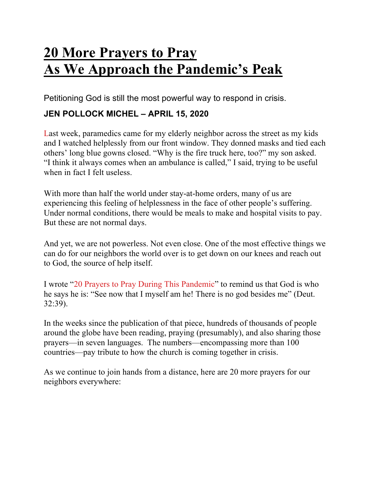## **20 More Prayers to Pray As We Approach the Pandemic's Peak**

Petitioning God is still the most powerful way to respond in crisis.

## **JEN POLLOCK MICHEL – APRIL 15, 2020**

Last week, paramedics came for my elderly neighbor across the street as my kids and I watched helplessly from our front window. They donned masks and tied each others' long blue gowns closed. "Why is the fire truck here, too?" my son asked. "I think it always comes when an ambulance is called," I said, trying to be useful when in fact I felt useless.

With more than half the world under stay-at-home orders, many of us are experiencing this feeling of helplessness in the face of other people's suffering. Under normal conditions, there would be meals to make and hospital visits to pay. But these are not normal days.

And yet, we are not powerless. Not even close. One of the most effective things we can do for our neighbors the world over is to get down on our knees and reach out to God, the source of help itself.

I wrote "20 Prayers to Pray During This Pandemic" to remind us that God is who he says he is: "See now that I myself am he! There is no god besides me" (Deut. 32:39).

In the weeks since the publication of that piece, hundreds of thousands of people around the globe have been reading, praying (presumably), and also sharing those prayers—in seven languages. The numbers—encompassing more than 100 countries—pay tribute to how the church is coming together in crisis.

As we continue to join hands from a distance, here are 20 more prayers for our neighbors everywhere: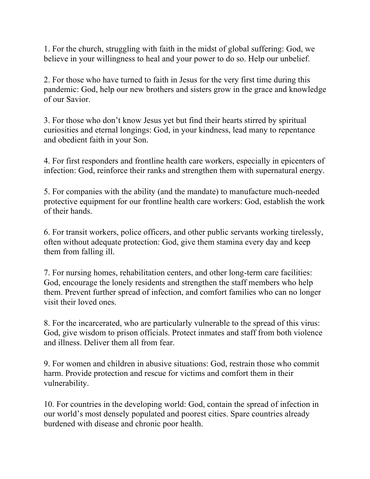1. For the church, struggling with faith in the midst of global suffering: God, we believe in your willingness to heal and your power to do so. Help our unbelief.

2. For those who have turned to faith in Jesus for the very first time during this pandemic: God, help our new brothers and sisters grow in the grace and knowledge of our Savior.

3. For those who don't know Jesus yet but find their hearts stirred by spiritual curiosities and eternal longings: God, in your kindness, lead many to repentance and obedient faith in your Son.

4. For first responders and frontline health care workers, especially in epicenters of infection: God, reinforce their ranks and strengthen them with supernatural energy.

5. For companies with the ability (and the mandate) to manufacture much-needed protective equipment for our frontline health care workers: God, establish the work of their hands.

6. For transit workers, police officers, and other public servants working tirelessly, often without adequate protection: God, give them stamina every day and keep them from falling ill.

7. For nursing homes, rehabilitation centers, and other long-term care facilities: God, encourage the lonely residents and strengthen the staff members who help them. Prevent further spread of infection, and comfort families who can no longer visit their loved ones.

8. For the incarcerated, who are particularly vulnerable to the spread of this virus: God, give wisdom to prison officials. Protect inmates and staff from both violence and illness. Deliver them all from fear.

9. For women and children in abusive situations: God, restrain those who commit harm. Provide protection and rescue for victims and comfort them in their vulnerability.

10. For countries in the developing world: God, contain the spread of infection in our world's most densely populated and poorest cities. Spare countries already burdened with disease and chronic poor health.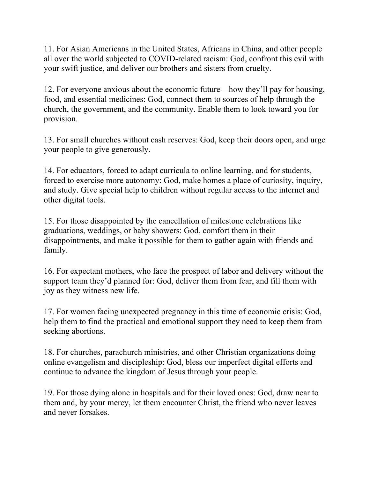11. For Asian Americans in the United States, Africans in China, and other people all over the world subjected to COVID-related racism: God, confront this evil with your swift justice, and deliver our brothers and sisters from cruelty.

12. For everyone anxious about the economic future—how they'll pay for housing, food, and essential medicines: God, connect them to sources of help through the church, the government, and the community. Enable them to look toward you for provision.

13. For small churches without cash reserves: God, keep their doors open, and urge your people to give generously.

14. For educators, forced to adapt curricula to online learning, and for students, forced to exercise more autonomy: God, make homes a place of curiosity, inquiry, and study. Give special help to children without regular access to the internet and other digital tools.

15. For those disappointed by the cancellation of milestone celebrations like graduations, weddings, or baby showers: God, comfort them in their disappointments, and make it possible for them to gather again with friends and family.

16. For expectant mothers, who face the prospect of labor and delivery without the support team they'd planned for: God, deliver them from fear, and fill them with joy as they witness new life.

17. For women facing unexpected pregnancy in this time of economic crisis: God, help them to find the practical and emotional support they need to keep them from seeking abortions.

18. For churches, parachurch ministries, and other Christian organizations doing online evangelism and discipleship: God, bless our imperfect digital efforts and continue to advance the kingdom of Jesus through your people.

19. For those dying alone in hospitals and for their loved ones: God, draw near to them and, by your mercy, let them encounter Christ, the friend who never leaves and never forsakes.